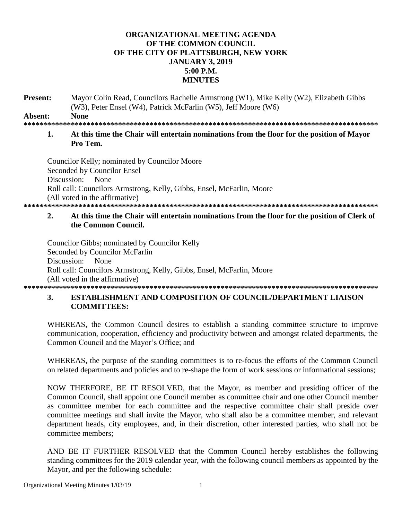#### ORGANIZATIONAL MEETING AGENDA OF THE COMMON COUNCIL OF THE CITY OF PLATTSBURGH, NEW YORK **JANUARY 3, 2019**  $5:00 P.M.$ **MINUTES**

Present: Mayor Colin Read, Councilors Rachelle Armstrong (W1), Mike Kelly (W2), Elizabeth Gibbs (W3), Peter Ensel (W4), Patrick McFarlin (W5), Jeff Moore (W6)

Absent: **None** 

#### 

#### $\mathbf{1}$ At this time the Chair will entertain nominations from the floor for the position of Mayor Pro Tem.

Councilor Kelly; nominated by Councilor Moore Seconded by Councilor Ensel Discussion: None Roll call: Councilors Armstrong, Kelly, Gibbs, Ensel, McFarlin, Moore (All voted in the affirmative) 

#### $2.$ At this time the Chair will entertain nominations from the floor for the position of Clerk of the Common Council.

Councilor Gibbs; nominated by Councilor Kelly Seconded by Councilor McFarlin Discussion: None Roll call: Councilors Armstrong, Kelly, Gibbs, Ensel, McFarlin, Moore (All voted in the affirmative) 

#### **3. ESTABLISHMENT AND COMPOSITION OF COUNCIL/DEPARTMENT LIAISON COMMITTEES:**

WHEREAS, the Common Council desires to establish a standing committee structure to improve communication, cooperation, efficiency and productivity between and amongst related departments, the Common Council and the Mayor's Office; and

WHEREAS, the purpose of the standing committees is to re-focus the efforts of the Common Council on related departments and policies and to re-shape the form of work sessions or informational sessions;

NOW THERFORE, BE IT RESOLVED, that the Mayor, as member and presiding officer of the Common Council, shall appoint one Council member as committee chair and one other Council member as committee member for each committee and the respective committee chair shall preside over committee meetings and shall invite the Mayor, who shall also be a committee member, and relevant department heads, city employees, and, in their discretion, other interested parties, who shall not be committee members:

AND BE IT FURTHER RESOLVED that the Common Council hereby establishes the following standing committees for the 2019 calendar year, with the following council members as appointed by the Mayor, and per the following schedule: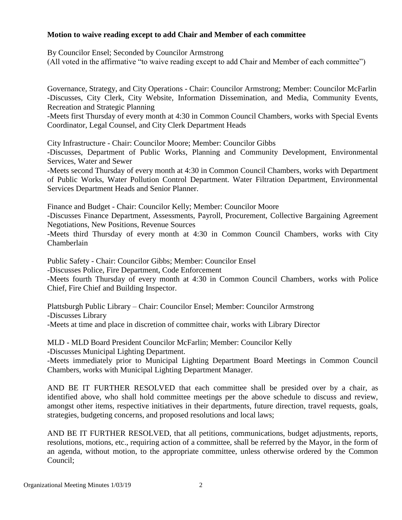#### **Motion to waive reading except to add Chair and Member of each committee**

By Councilor Ensel; Seconded by Councilor Armstrong

(All voted in the affirmative "to waive reading except to add Chair and Member of each committee")

Governance, Strategy, and City Operations - Chair: Councilor Armstrong; Member: Councilor McFarlin -Discusses, City Clerk, City Website, Information Dissemination, and Media, Community Events, Recreation and Strategic Planning

-Meets first Thursday of every month at 4:30 in Common Council Chambers, works with Special Events Coordinator, Legal Counsel, and City Clerk Department Heads

City Infrastructure - Chair: Councilor Moore; Member: Councilor Gibbs

-Discusses, Department of Public Works, Planning and Community Development, Environmental Services, Water and Sewer

-Meets second Thursday of every month at 4:30 in Common Council Chambers, works with Department of Public Works, Water Pollution Control Department. Water Filtration Department, Environmental Services Department Heads and Senior Planner.

Finance and Budget - Chair: Councilor Kelly; Member: Councilor Moore

-Discusses Finance Department, Assessments, Payroll, Procurement, Collective Bargaining Agreement Negotiations, New Positions, Revenue Sources

-Meets third Thursday of every month at 4:30 in Common Council Chambers, works with City Chamberlain

Public Safety - Chair: Councilor Gibbs; Member: Councilor Ensel

-Discusses Police, Fire Department, Code Enforcement

-Meets fourth Thursday of every month at 4:30 in Common Council Chambers, works with Police Chief, Fire Chief and Building Inspector.

Plattsburgh Public Library – Chair: Councilor Ensel; Member: Councilor Armstrong -Discusses Library -Meets at time and place in discretion of committee chair, works with Library Director

MLD - MLD Board President Councilor McFarlin; Member: Councilor Kelly -Discusses Municipal Lighting Department.

-Meets immediately prior to Municipal Lighting Department Board Meetings in Common Council Chambers, works with Municipal Lighting Department Manager.

AND BE IT FURTHER RESOLVED that each committee shall be presided over by a chair, as identified above, who shall hold committee meetings per the above schedule to discuss and review, amongst other items, respective initiatives in their departments, future direction, travel requests, goals, strategies, budgeting concerns, and proposed resolutions and local laws;

AND BE IT FURTHER RESOLVED, that all petitions, communications, budget adjustments, reports, resolutions, motions, etc., requiring action of a committee, shall be referred by the Mayor, in the form of an agenda, without motion, to the appropriate committee, unless otherwise ordered by the Common Council;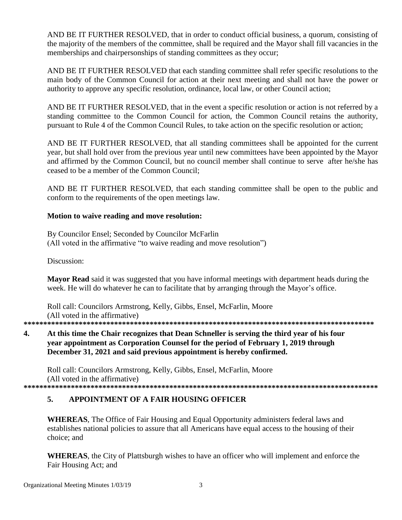AND BE IT FURTHER RESOLVED, that in order to conduct official business, a quorum, consisting of the majority of the members of the committee, shall be required and the Mayor shall fill vacancies in the memberships and chairpersonships of standing committees as they occur;

AND BE IT FURTHER RESOLVED that each standing committee shall refer specific resolutions to the main body of the Common Council for action at their next meeting and shall not have the power or authority to approve any specific resolution, ordinance, local law, or other Council action;

AND BE IT FURTHER RESOLVED, that in the event a specific resolution or action is not referred by a standing committee to the Common Council for action, the Common Council retains the authority, pursuant to Rule 4 of the Common Council Rules, to take action on the specific resolution or action;

AND BE IT FURTHER RESOLVED, that all standing committees shall be appointed for the current year, but shall hold over from the previous year until new committees have been appointed by the Mayor and affirmed by the Common Council, but no council member shall continue to serve after he/she has ceased to be a member of the Common Council:

AND BE IT FURTHER RESOLVED, that each standing committee shall be open to the public and conform to the requirements of the open meetings law.

#### Motion to waive reading and move resolution:

By Councilor Ensel; Seconded by Councilor McFarlin (All voted in the affirmative "to waive reading and move resolution")

Discussion:

Mayor Read said it was suggested that you have informal meetings with department heads during the week. He will do whatever he can to facilitate that by arranging through the Mayor's office.

Roll call: Councilors Armstrong, Kelly, Gibbs, Ensel, McFarlin, Moore (All voted in the affirmative)

#### 4. At this time the Chair recognizes that Dean Schneller is serving the third year of his four year appointment as Corporation Counsel for the period of February 1, 2019 through December 31, 2021 and said previous appointment is hereby confirmed.

Roll call: Councilors Armstrong, Kelly, Gibbs, Ensel, McFarlin, Moore (All voted in the affirmative) 

#### 5. APPOINTMENT OF A FAIR HOUSING OFFICER

**WHEREAS**, The Office of Fair Housing and Equal Opportunity administers federal laws and establishes national policies to assure that all Americans have equal access to the housing of their choice: and

**WHEREAS**, the City of Plattsburgh wishes to have an officer who will implement and enforce the Fair Housing Act; and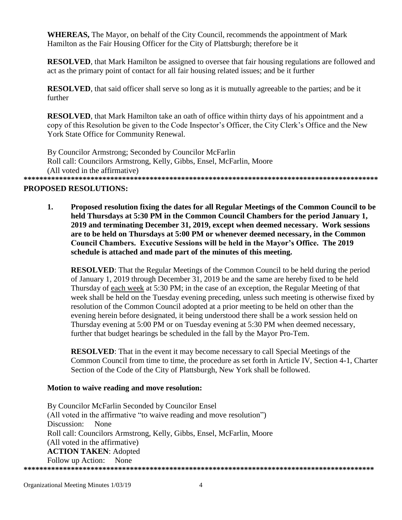**WHEREAS, The Mayor, on behalf of the City Council, recommends the appointment of Mark** Hamilton as the Fair Housing Officer for the City of Plattsburgh; therefore be it

**RESOLVED**, that Mark Hamilton be assigned to oversee that fair housing regulations are followed and act as the primary point of contact for all fair housing related issues; and be it further

**RESOLVED**, that said officer shall serve so long as it is mutually agreeable to the parties; and be it further

**RESOLVED**, that Mark Hamilton take an oath of office within thirty days of his appointment and a copy of this Resolution be given to the Code Inspector's Officer, the City Clerk's Office and the New York State Office for Community Renewal.

By Councilor Armstrong; Seconded by Councilor McFarlin Roll call: Councilors Armstrong, Kelly, Gibbs, Ensel, McFarlin, Moore (All voted in the affirmative) 

### **PROPOSED RESOLUTIONS:**

1. Proposed resolution fixing the dates for all Regular Meetings of the Common Council to be held Thursdays at 5:30 PM in the Common Council Chambers for the period January 1, 2019 and terminating December 31, 2019, except when deemed necessary. Work sessions are to be held on Thursdays at 5:00 PM or whenever deemed necessary, in the Common Council Chambers. Executive Sessions will be held in the Mayor's Office. The 2019 schedule is attached and made part of the minutes of this meeting.

**RESOLVED:** That the Regular Meetings of the Common Council to be held during the period of January 1, 2019 through December 31, 2019 be and the same are hereby fixed to be held Thursday of each week at 5:30 PM; in the case of an exception, the Regular Meeting of that week shall be held on the Tuesday evening preceding, unless such meeting is otherwise fixed by resolution of the Common Council adopted at a prior meeting to be held on other than the evening herein before designated, it being understood there shall be a work session held on Thursday evening at 5:00 PM or on Tuesday evening at 5:30 PM when deemed necessary, further that budget hearings be scheduled in the fall by the Mayor Pro-Tem.

**RESOLVED:** That in the event it may become necessary to call Special Meetings of the Common Council from time to time, the procedure as set forth in Article IV, Section 4-1, Charter Section of the Code of the City of Plattsburgh, New York shall be followed.

#### Motion to waive reading and move resolution:

By Councilor McFarlin Seconded by Councilor Ensel (All voted in the affirmative "to waive reading and move resolution") Discussion: None Roll call: Councilors Armstrong, Kelly, Gibbs, Ensel, McFarlin, Moore (All voted in the affirmative) **ACTION TAKEN: Adopted** Follow up Action: None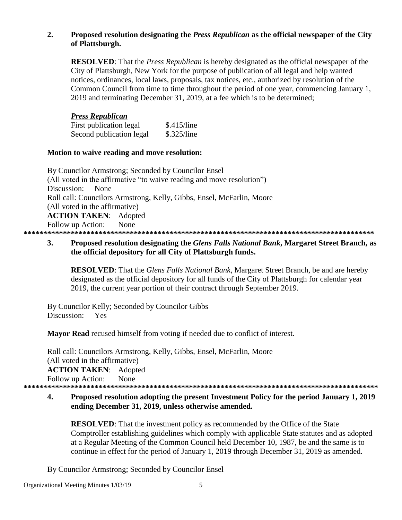### **2. Proposed resolution designating the** *Press Republican* **as the official newspaper of the City of Plattsburgh.**

**RESOLVED**: That the *Press Republican* is hereby designated as the official newspaper of the City of Plattsburgh, New York for the purpose of publication of all legal and help wanted notices, ordinances, local laws, proposals, tax notices, etc., authorized by resolution of the Common Council from time to time throughout the period of one year, commencing January 1, 2019 and terminating December 31, 2019, at a fee which is to be determined;

#### *Press Republican*

| First publication legal  | \$.415/line |
|--------------------------|-------------|
| Second publication legal | \$.325/line |

#### **Motion to waive reading and move resolution:**

By Councilor Armstrong; Seconded by Councilor Ensel (All voted in the affirmative "to waive reading and move resolution") Discussion: None Roll call: Councilors Armstrong, Kelly, Gibbs, Ensel, McFarlin, Moore (All voted in the affirmative) **ACTION TAKEN**: Adopted Follow up Action: None **\*\*\*\*\*\*\*\*\*\*\*\*\*\*\*\*\*\*\*\*\*\*\*\*\*\*\*\*\*\*\*\*\*\*\*\*\*\*\*\*\*\*\*\*\*\*\*\*\*\*\*\*\*\*\*\*\*\*\*\*\*\*\*\*\*\*\*\*\*\*\*\*\*\*\*\*\*\*\*\*\*\*\*\*\*\*\*\*\***

### **3. Proposed resolution designating the** *Glens Falls National Bank***, Margaret Street Branch, as the official depository for all City of Plattsburgh funds.**

**RESOLVED**: That the *Glens Falls National Bank*, Margaret Street Branch, be and are hereby designated as the official depository for all funds of the City of Plattsburgh for calendar year 2019, the current year portion of their contract through September 2019.

By Councilor Kelly; Seconded by Councilor Gibbs Discussion: Yes

**Mayor Read** recused himself from voting if needed due to conflict of interest.

Roll call: Councilors Armstrong, Kelly, Gibbs, Ensel, McFarlin, Moore (All voted in the affirmative) **ACTION TAKEN**: Adopted Follow up Action: None **\*\*\*\*\*\*\*\*\*\*\*\*\*\*\*\*\*\*\*\*\*\*\*\*\*\*\*\*\*\*\*\*\*\*\*\*\*\*\*\*\*\*\*\*\*\*\*\*\*\*\*\*\*\*\*\*\*\*\*\*\*\*\*\*\*\*\*\*\*\*\*\*\*\*\*\*\*\*\*\*\*\*\*\*\*\*\*\*\*\***

## **4. Proposed resolution adopting the present Investment Policy for the period January 1, 2019 ending December 31, 2019, unless otherwise amended.**

**RESOLVED**: That the investment policy as recommended by the Office of the State Comptroller establishing guidelines which comply with applicable State statutes and as adopted at a Regular Meeting of the Common Council held December 10, 1987, be and the same is to continue in effect for the period of January 1, 2019 through December 31, 2019 as amended.

By Councilor Armstrong; Seconded by Councilor Ensel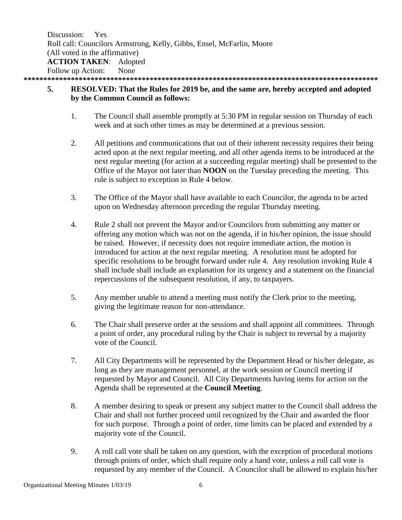Discussion: Yes Roll call: Councilors Armstrong, Kelly, Gibbs, Ensel, McFarlin, Moore (All voted in the affirmative) **ACTION TAKEN**: Adopted Follow up Action: None **\*\*\*\*\*\*\*\*\*\*\*\*\*\*\*\*\*\*\*\*\*\*\*\*\*\*\*\*\*\*\*\*\*\*\*\*\*\*\*\*\*\*\*\*\*\*\*\*\*\*\*\*\*\*\*\*\*\*\*\*\*\*\*\*\*\*\*\*\*\*\*\*\*\*\*\*\*\*\*\*\*\*\*\*\*\*\*\*\*\***

## **5. RESOLVED: That the Rules for 2019 be, and the same are, hereby accepted and adopted by the Common Council as follows:**

- 1. The Council shall assemble promptly at 5:30 PM in regular session on Thursday of each week and at such other times as may be determined at a previous session.
- 2. All petitions and communications that out of their inherent necessity requires their being acted upon at the next regular meeting, and all other agenda items to be introduced at the next regular meeting (for action at a succeeding regular meeting) shall be presented to the Office of the Mayor not later than **NOON** on the Tuesday preceding the meeting. This rule is subject to exception in Rule 4 below.
- 3. The Office of the Mayor shall have available to each Councilor, the agenda to be acted upon on Wednesday afternoon preceding the regular Thursday meeting.
- 4. Rule 2 shall not prevent the Mayor and/or Councilors from submitting any matter or offering any motion which was not on the agenda, if in his/her opinion, the issue should be raised. However, if necessity does not require immediate action, the motion is introduced for action at the next regular meeting. A resolution must be adopted for specific resolutions to be brought forward under rule 4. Any resolution invoking Rule 4 shall include shall include an explanation for its urgency and a statement on the financial repercussions of the subsequent resolution, if any, to taxpayers.
- 5. Any member unable to attend a meeting must notify the Clerk prior to the meeting, giving the legitimate reason for non-attendance.
- 6. The Chair shall preserve order at the sessions and shall appoint all committees. Through a point of order, any procedural ruling by the Chair is subject to reversal by a majority vote of the Council.
- 7. All City Departments will be represented by the Department Head or his/her delegate, as long as they are management personnel, at the work session or Council meeting if requested by Mayor and Council. All City Departments having items for action on the Agenda shall be represented at the **Council Meeting**.
- 8. A member desiring to speak or present any subject matter to the Council shall address the Chair and shall not further proceed until recognized by the Chair and awarded the floor for such purpose. Through a point of order, time limits can be placed and extended by a majority vote of the Council.
- 9. A roll call vote shall be taken on any question, with the exception of procedural motions through points of order, which shall require only a hand vote, unless a roll call vote is requested by any member of the Council. A Councilor shall be allowed to explain his/her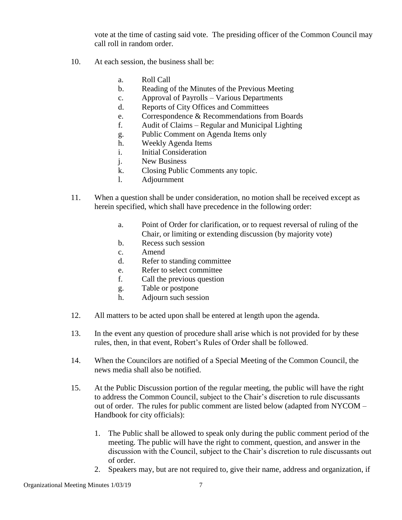vote at the time of casting said vote. The presiding officer of the Common Council may call roll in random order.

- 10. At each session, the business shall be:
	- a. Roll Call
	- b. Reading of the Minutes of the Previous Meeting
	- c. Approval of Payrolls Various Departments
	- d. Reports of City Offices and Committees
	- e. Correspondence & Recommendations from Boards
	- f. Audit of Claims Regular and Municipal Lighting
	- g. Public Comment on Agenda Items only
	- h. Weekly Agenda Items
	- i. Initial Consideration
	- j. New Business
	- k. Closing Public Comments any topic.
	- l. Adjournment
- 11. When a question shall be under consideration, no motion shall be received except as herein specified, which shall have precedence in the following order:
	- a. Point of Order for clarification, or to request reversal of ruling of the Chair, or limiting or extending discussion (by majority vote)
	- b. Recess such session
	- c. Amend
	- d. Refer to standing committee
	- e. Refer to select committee
	- f. Call the previous question
	- g. Table or postpone
	- h. Adjourn such session
- 12. All matters to be acted upon shall be entered at length upon the agenda.
- 13. In the event any question of procedure shall arise which is not provided for by these rules, then, in that event, Robert's Rules of Order shall be followed.
- 14. When the Councilors are notified of a Special Meeting of the Common Council, the news media shall also be notified.
- 15. At the Public Discussion portion of the regular meeting, the public will have the right to address the Common Council, subject to the Chair's discretion to rule discussants out of order. The rules for public comment are listed below (adapted from NYCOM – Handbook for city officials):
	- 1. The Public shall be allowed to speak only during the public comment period of the meeting. The public will have the right to comment, question, and answer in the discussion with the Council, subject to the Chair's discretion to rule discussants out of order.
	- 2. Speakers may, but are not required to, give their name, address and organization, if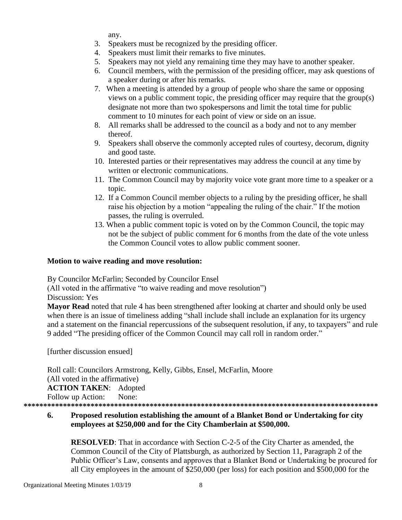any.

- 3. Speakers must be recognized by the presiding officer.
- 4. Speakers must limit their remarks to five minutes.
- 5. Speakers may not yield any remaining time they may have to another speaker.
- 6. Council members, with the permission of the presiding officer, may ask questions of a speaker during or after his remarks.
- 7. When a meeting is attended by a group of people who share the same or opposing views on a public comment topic, the presiding officer may require that the group(s) designate not more than two spokespersons and limit the total time for public comment to 10 minutes for each point of view or side on an issue.
- 8. All remarks shall be addressed to the council as a body and not to any member thereof.
- 9. Speakers shall observe the commonly accepted rules of courtesy, decorum, dignity and good taste.
- 10. Interested parties or their representatives may address the council at any time by written or electronic communications.
- 11. The Common Council may by majority voice vote grant more time to a speaker or a topic.
- 12. If a Common Council member objects to a ruling by the presiding officer, he shall raise his objection by a motion "appealing the ruling of the chair." If the motion passes, the ruling is overruled.
- 13. When a public comment topic is voted on by the Common Council, the topic may not be the subject of public comment for 6 months from the date of the vote unless the Common Council votes to allow public comment sooner.

#### **Motion to waive reading and move resolution:**

By Councilor McFarlin; Seconded by Councilor Ensel

(All voted in the affirmative "to waive reading and move resolution")

Discussion: Yes

**Mayor Read** noted that rule 4 has been strengthened after looking at charter and should only be used when there is an issue of timeliness adding "shall include shall include an explanation for its urgency and a statement on the financial repercussions of the subsequent resolution, if any, to taxpayers" and rule 9 added "The presiding officer of the Common Council may call roll in random order."

[further discussion ensued]

Roll call: Councilors Armstrong, Kelly, Gibbs, Ensel, McFarlin, Moore (All voted in the affirmative) **ACTION TAKEN**: Adopted Follow up Action: None: **\*\*\*\*\*\*\*\*\*\*\*\*\*\*\*\*\*\*\*\*\*\*\*\*\*\*\*\*\*\*\*\*\*\*\*\*\*\*\*\*\*\*\*\*\*\*\*\*\*\*\*\*\*\*\*\*\*\*\*\*\*\*\*\*\*\*\*\*\*\*\*\*\*\*\*\*\*\*\*\*\*\*\*\*\*\*\*\*\*\***

**6. Proposed resolution establishing the amount of a Blanket Bond or Undertaking for city employees at \$250,000 and for the City Chamberlain at \$500,000.**

**RESOLVED**: That in accordance with Section C-2-5 of the City Charter as amended, the Common Council of the City of Plattsburgh, as authorized by Section 11, Paragraph 2 of the Public Officer's Law, consents and approves that a Blanket Bond or Undertaking be procured for all City employees in the amount of \$250,000 (per loss) for each position and \$500,000 for the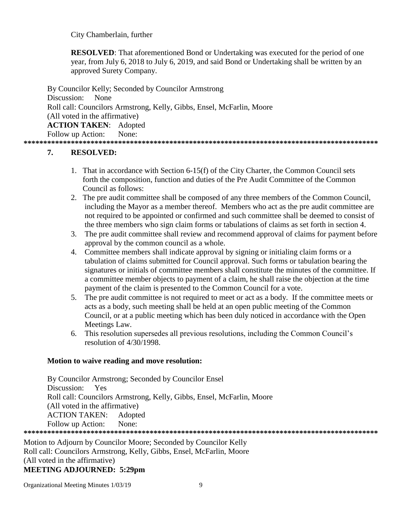City Chamberlain, further

**RESOLVED:** That aforementioned Bond or Undertaking was executed for the period of one year, from July 6, 2018 to July 6, 2019, and said Bond or Undertaking shall be written by an approved Surety Company.

By Councilor Kelly; Seconded by Councilor Armstrong Discussion: None Roll call: Councilors Armstrong, Kelly, Gibbs, Ensel, McFarlin, Moore (All voted in the affirmative) **ACTION TAKEN**: Adopted Follow up Action: None: **\*\*\*\*\*\*\*\*\*\*\*\*\*\*\*\*\*\*\*\*\*\*\*\*\*\*\*\*\*\*\*\*\*\*\*\*\*\*\*\*\*\*\*\*\*\*\*\*\*\*\*\*\*\*\*\*\*\*\*\*\*\*\*\*\*\*\*\*\*\*\*\*\*\*\*\*\*\*\*\*\*\*\*\*\*\*\*\*\*\***

# **7. RESOLVED:**

- 1. That in accordance with Section 6-15(f) of the City Charter, the Common Council sets forth the composition, function and duties of the Pre Audit Committee of the Common Council as follows:
- 2. The pre audit committee shall be composed of any three members of the Common Council, including the Mayor as a member thereof. Members who act as the pre audit committee are not required to be appointed or confirmed and such committee shall be deemed to consist of the three members who sign claim forms or tabulations of claims as set forth in section 4.
- 3. The pre audit committee shall review and recommend approval of claims for payment before approval by the common council as a whole.
- 4. Committee members shall indicate approval by signing or initialing claim forms or a tabulation of claims submitted for Council approval. Such forms or tabulation bearing the signatures or initials of committee members shall constitute the minutes of the committee. If a committee member objects to payment of a claim, he shall raise the objection at the time payment of the claim is presented to the Common Council for a vote.
- 5. The pre audit committee is not required to meet or act as a body. If the committee meets or acts as a body, such meeting shall be held at an open public meeting of the Common Council, or at a public meeting which has been duly noticed in accordance with the Open Meetings Law.
- 6. This resolution supersedes all previous resolutions, including the Common Council's resolution of 4/30/1998.

### **Motion to waive reading and move resolution:**

By Councilor Armstrong; Seconded by Councilor Ensel Discussion: Yes Roll call: Councilors Armstrong, Kelly, Gibbs, Ensel, McFarlin, Moore (All voted in the affirmative) ACTION TAKEN: Adopted Follow up Action: None: **\*\*\*\*\*\*\*\*\*\*\*\*\*\*\*\*\*\*\*\*\*\*\*\*\*\*\*\*\*\*\*\*\*\*\*\*\*\*\*\*\*\*\*\*\*\*\*\*\*\*\*\*\*\*\*\*\*\*\*\*\*\*\*\*\*\*\*\*\*\*\*\*\*\*\*\*\*\*\*\*\*\*\*\*\*\*\*\*\*\***

Motion to Adjourn by Councilor Moore; Seconded by Councilor Kelly Roll call: Councilors Armstrong, Kelly, Gibbs, Ensel, McFarlin, Moore (All voted in the affirmative) **MEETING ADJOURNED: 5:29pm**